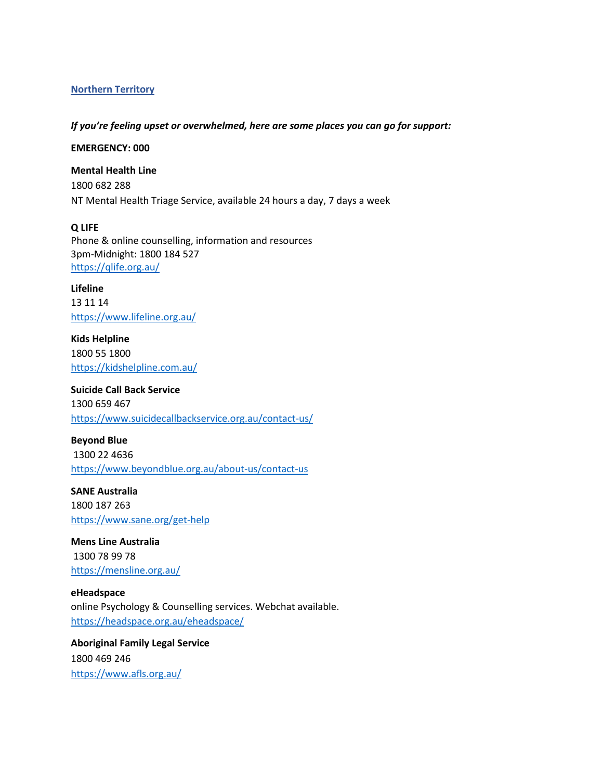# **Northern Territory**

### *If you're feeling upset or overwhelmed, here are some places you can go for support:*

**EMERGENCY: 000**

**Mental Health Line** 1800 682 288 NT Mental Health Triage Service, available 24 hours a day, 7 days a week

**Q LIFE** Phone & online counselling, information and resources 3pm-Midnight: 1800 184 527 <https://qlife.org.au/>

**Lifeline**  13 11 14 <https://www.lifeline.org.au/>

**Kids Helpline** 1800 55 1800 <https://kidshelpline.com.au/>

**Suicide Call Back Service** 1300 659 467 <https://www.suicidecallbackservice.org.au/contact-us/>

**Beyond Blue** 1300 22 4636 <https://www.beyondblue.org.au/about-us/contact-us>

**SANE Australia** 1800 187 263 <https://www.sane.org/get-help>

**Mens Line Australia** 1300 78 99 78 <https://mensline.org.au/>

**eHeadspace** online Psychology & Counselling services. Webchat available. <https://headspace.org.au/eheadspace/>

**Aboriginal Family Legal Service** 1800 469 246 <https://www.afls.org.au/>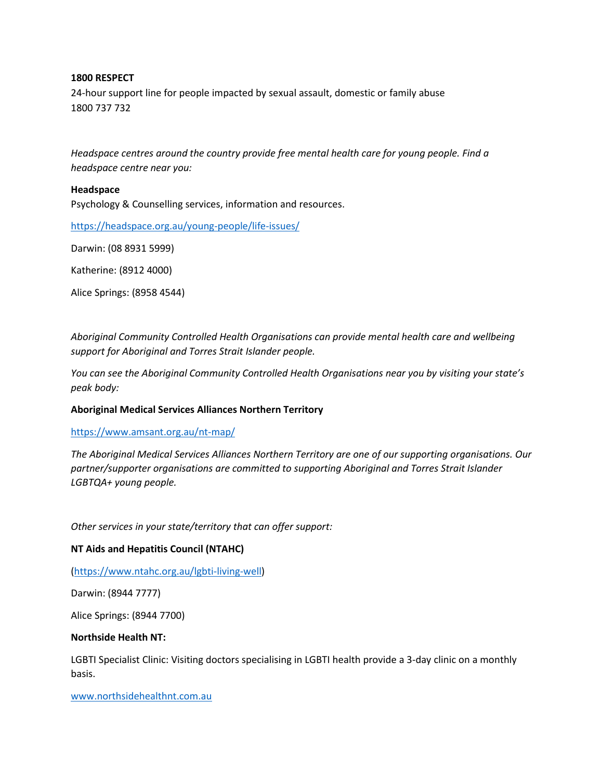## **1800 RESPECT**

24-hour support line for people impacted by sexual assault, domestic or family abuse 1800 737 732

*Headspace centres around the country provide free mental health care for young people. Find a headspace centre near you:*

### **Headspace**

Psychology & Counselling services, information and resources.

<https://headspace.org.au/young-people/life-issues/>

Darwin: (08 8931 5999)

Katherine: (8912 4000)

Alice Springs: (8958 4544)

*Aboriginal Community Controlled Health Organisations can provide mental health care and wellbeing support for Aboriginal and Torres Strait Islander people.* 

*You can see the Aboriginal Community Controlled Health Organisations near you by visiting your state's peak body:*

### **Aboriginal Medical Services Alliances Northern Territory**

#### <https://www.amsant.org.au/nt-map/>

*The Aboriginal Medical Services Alliances Northern Territory are one of our supporting organisations. Our partner/supporter organisations are committed to supporting Aboriginal and Torres Strait Islander LGBTQA+ young people.*

*Other services in your state/territory that can offer support:*

### **NT Aids and Hepatitis Council (NTAHC)**

[\(https://www.ntahc.org.au/lgbti-living-well\)](https://www.ntahc.org.au/lgbti-living-well)

Darwin: (8944 7777)

Alice Springs: (8944 7700)

#### **Northside Health NT:**

LGBTI Specialist Clinic: Visiting doctors specialising in LGBTI health provide a 3-day clinic on a monthly basis.

[www.northsidehealthnt.com.au](http://www.northsidehealthnt.com.au/)